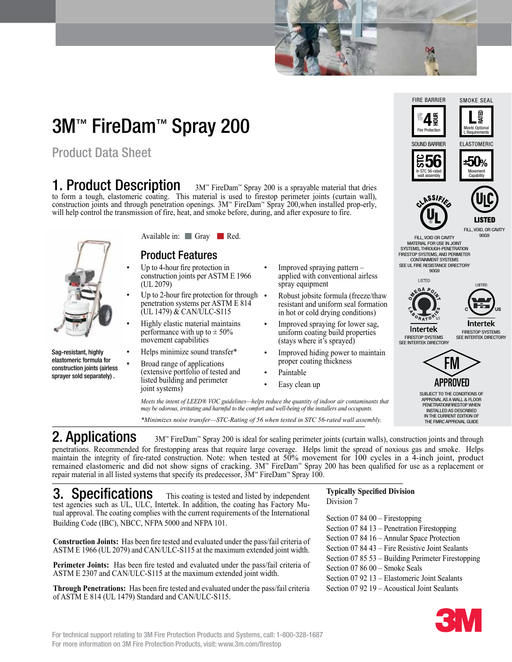# 3M™ FireDam™ Spray 200

Product Data Sheet

### 1. Product Description

 FireDam™ Spray 200 is a sprayable material that dries to form a tough, elastomeric coating. This material is used to firestop perimeter joints (curtain wall), construction joints and through penetration openings. 3M™ FireDam™ Spray 200,when installed prop-erly, will help control the transmission of fire, heat, and smoke before, during, and after exposure to fire.



Sag-resistant, highly elastomeric formula for construction joints (airless sprayer sold separately) .

### Available in: Gray Red.

#### Product Features

- Up to 4-hour fire protection in construction joints per ASTM E 1966 (UL 2079)
- Up to 2-hour fire protection for through  $\bullet$ penetration systems per ASTM E 814 (UL 1479) & CAN/ULC-S115
- Highly elastic material maintains performance with up to  $\pm$  50% movement capabilities
- Helps minimize sound transfer\*
- Broad range of applications (extensive portfolio of tested and • Paintable listed building and perimeter • Easy clean up joint systems)
- Improved spraying pattern applied with conventional airless spray equipment
- Robust jobsite formula (freeze/thaw resistant and uniform seal formation in hot or cold drying conditions)
- Improved spraying for lower sag, uniform coating build properties (stays where it's sprayed)
- Improved hiding power to maintain proper coating thickness
- 
- 

*Meets the intent of LEED® VOC guidelines—helps reduce the quantity of indoor air contaminants that may be odorous, irritating and harmful to the comfort and well-being of the installers and occupants.*

*\*Minimizes noise transfer—STC-Rating of 56 when tested in STC 56-rated wall assembly.*

2. Applications FireDam™ Spray 200 is ideal for sealing perimeter joints (curtain walls), construction joints and through penetrations. Recommended for firestopping areas that require large coverage. Helps limit the spread of noxious gas and smoke. Helps maintain the integrity of fire-rated construction. Note: when tested at 50% movement for 100 cycles in a 4-inch joint, product remained elastomeric and did not show signs of cracking. 3M™ FireDam™ Spray 200 has been qualified for use as a replacement or repair material in all listed systems that specify its predecessor, 3M™ FireDam™ Spray 100.

**3. Specifications** This coating is tested and listed by independent test agencies such as UL, ULC, Intertek. In addition, the coating has Factory Mutual approval. The coating complies with the current requirements of the International Building Code (IBC), NBCC, NFPA 5000 and NFPA 101.

**Construction Joints:** Has been fire tested and evaluated under the pass/fail criteria of ASTM E 1966 (UL 2079) and CAN/ULC-S115 at the maximum extended joint width.

**Perimeter Joints:** Has been fire tested and evaluated under the pass/fail criteria of ASTM E 2307 and CAN/ULC-S115 at the maximum extended joint width.

**Through Penetrations:** Has been fire tested and evaluated under the pass/fail criteria of ASTM E 814 (UL 1479) Standard and CAN/ULC-S115.

#### **Typically Specified Division** Division 7

Section 07 84 00 – Firestopping Section 07 84 13 – Penetration Firestopping Section 07 84 16 – Annular Space Protection Section 07 84 43 – Fire Resistive Joint Sealants Section 07 85 53 – Building Perimeter Firestopping Section 07 86 00 – Smoke Seals Section 07 92 13 – Elastomeric Joint Sealants Section 07 92 19 – Acoustical Joint Sealants







90G9

FILL, VOID OR CAVITY MATERIAL FOR USE IN JOINT SYSTEMS, THROUGH-PENETRATION FIRESTOP SYSTEMS, AND PERIMETER CONTAINMENT SYSTEMS SEE UL FIRE RESISTANCE DIRECTORY 90G9



**Intertek** 

LISTED

**Intertek** FIRESTOP SYSTEMS SEE INTERTEK DIRECTORY

FIRESTOP SYSTEMS SEE INTERTEK DIRECTORY



SUBJECT TO THE CONDITIONS OF APPROVAL AS A WALL & FLOOR PENETRATIONFIRESTOP WHEN INSTALLED AS DESCRIBED IN THE CURRENT EDITION OF THE FMRC APPROVAL GUIDE